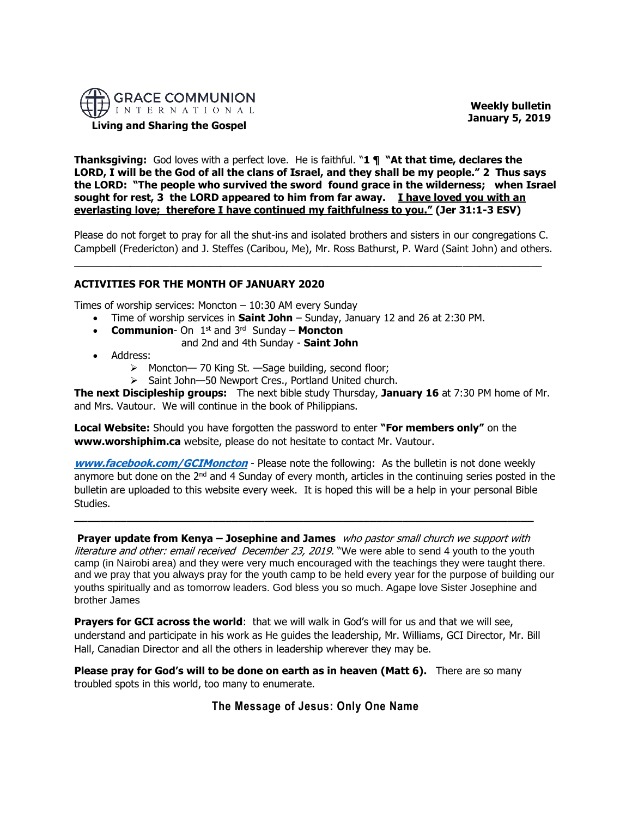

 **Weekly bulletin January 5, 2019** 

# **Living and Sharing the Gospel**

**Thanksgiving:** God loves with a perfect love. He is faithful. "**1 ¶ "At that time, declares the LORD, I will be the God of all the clans of Israel, and they shall be my people." 2 Thus says the LORD: "The people who survived the sword found grace in the wilderness; when Israel sought for rest, 3 the LORD appeared to him from far away. I have loved you with an everlasting love; therefore I have continued my faithfulness to you." (Jer 31:1-3 ESV)**

Please do not forget to pray for all the shut-ins and isolated brothers and sisters in our congregations C. Campbell (Fredericton) and J. Steffes (Caribou, Me), Mr. Ross Bathurst, P. Ward (Saint John) and others.

 $\_$  ,  $\_$  ,  $\_$  ,  $\_$  ,  $\_$  ,  $\_$  ,  $\_$  ,  $\_$  ,  $\_$  ,  $\_$  ,  $\_$  ,  $\_$  ,  $\_$  ,  $\_$  ,  $\_$  ,  $\_$  ,  $\_$  ,  $\_$  ,  $\_$  ,  $\_$  ,  $\_$  ,  $\_$  ,  $\_$  ,  $\_$  ,  $\_$  ,  $\_$  ,  $\_$  ,  $\_$  ,  $\_$  ,  $\_$  ,  $\_$  ,  $\_$  ,  $\_$  ,  $\_$  ,  $\_$  ,  $\_$  ,  $\_$  ,

# **ACTIVITIES FOR THE MONTH OF JANUARY 2020**

Times of worship services: Moncton – 10:30 AM every Sunday

- Time of worship services in **Saint John** Sunday, January 12 and 26 at 2:30 PM.
- **Communion** On 1<sup>st</sup> and 3<sup>rd</sup> Sunday **Moncton** 
	- and 2nd and 4th Sunday **Saint John**
- Address:
	- ➢ Moncton— 70 King St. —Sage building, second floor;
	- ➢ Saint John—50 Newport Cres., Portland United church.

**The next Discipleship groups:** The next bible study Thursday, **January 16** at 7:30 PM home of Mr. and Mrs. Vautour. We will continue in the book of Philippians.

**Local Website:** Should you have forgotten the password to enter **"For members only"** on the **www.worshiphim.ca** website, please do not hesitate to contact Mr. Vautour.

**[www.facebook.com/GCIMoncton](http://www.facebook.com/GCIMoncton)** - Please note the following: As the bulletin is not done weekly anymore but done on the  $2<sup>nd</sup>$  and 4 Sunday of every month, articles in the continuing series posted in the bulletin are uploaded to this website every week. It is hoped this will be a help in your personal Bible Studies.

**\_\_\_\_\_\_\_\_\_\_\_\_\_\_\_\_\_\_\_\_\_\_\_\_\_\_\_\_\_\_\_\_\_\_\_\_\_\_\_\_\_\_\_\_\_\_\_\_\_\_\_\_\_\_\_\_\_\_\_\_\_\_\_\_\_\_\_\_\_\_**

**Prayer update from Kenya – Josephine and James** who pastor small church we support with literature and other: email received December 23, 2019. "We were able to send 4 youth to the youth camp (in Nairobi area) and they were very much encouraged with the teachings they were taught there. and we pray that you always pray for the youth camp to be held every year for the purpose of building our youths spiritually and as tomorrow leaders. God bless you so much. Agape love Sister Josephine and brother James

**Prayers for GCI across the world**: that we will walk in God's will for us and that we will see, understand and participate in his work as He guides the leadership, Mr. Williams, GCI Director, Mr. Bill Hall, Canadian Director and all the others in leadership wherever they may be.

**Please pray for God's will to be done on earth as in heaven (Matt 6).** There are so many troubled spots in this world, too many to enumerate.

**The Message of Jesus: Only One Name**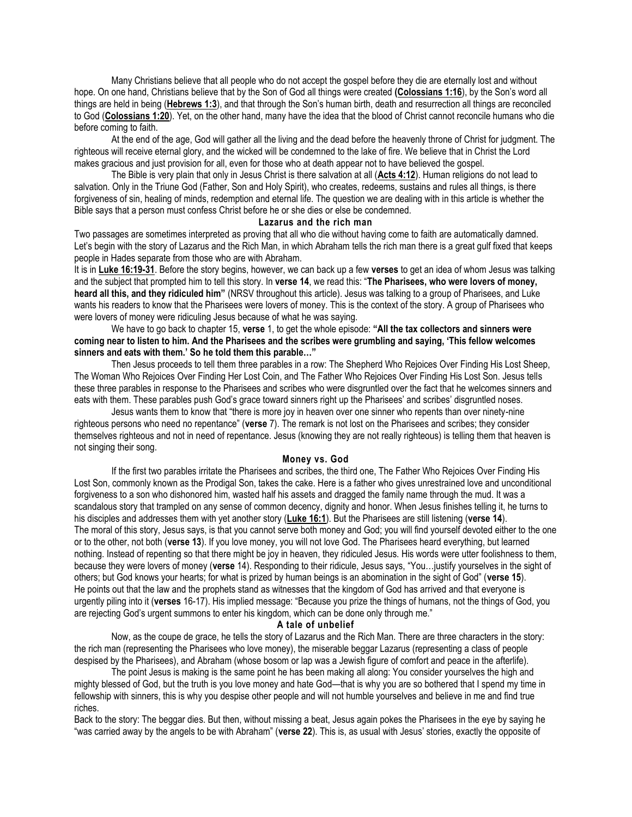Many Christians believe that all people who do not accept the gospel before they die are eternally lost and without hope. On one hand, Christians believe that by the Son of God all things were created **[\(Colossians 1:16](https://biblia.com/bible/niv/Col%201.16)**), by the Son's word all things are held in being (**[Hebrews 1:3](https://biblia.com/bible/niv/Heb%201.3)**), and that through the Son's human birth, death and resurrection all things are reconciled to God (**[Colossians 1:20](https://biblia.com/bible/niv/Col%201.20)**). Yet, on the other hand, many have the idea that the blood of Christ cannot reconcile humans who die before coming to faith.

At the end of the age, God will gather all the living and the dead before the heavenly throne of Christ for judgment. The righteous will receive eternal glory, and the wicked will be condemned to the lake of fire. We believe that in Christ the Lord makes gracious and just provision for all, even for those who at death appear not to have believed the gospel.

The Bible is very plain that only in Jesus Christ is there salvation at all (**[Acts 4:12](https://biblia.com/bible/niv/Acts%204.12)**). Human religions do not lead to salvation. Only in the Triune God (Father, Son and Holy Spirit), who creates, redeems, sustains and rules all things, is there forgiveness of sin, healing of minds, redemption and eternal life. The question we are dealing with in this article is whether the Bible says that a person must confess Christ before he or she dies or else be condemned.

### **Lazarus and the rich man**

Two passages are sometimes interpreted as proving that all who die without having come to faith are automatically damned. Let's begin with the story of Lazarus and the Rich Man, in which Abraham tells the rich man there is a great gulf fixed that keeps people in Hades separate from those who are with Abraham.

It is in **[Luke 16:19-31](https://biblia.com/bible/niv/Luke%2016.19-31)**. Before the story begins, however, we can back up a few **verses** to get an idea of whom Jesus was talking and the subject that prompted him to tell this story. In **verse 14**, we read this: "**The Pharisees, who were lovers of money, heard all this, and they ridiculed him"** (NRSV throughout this article). Jesus was talking to a group of Pharisees, and Luke wants his readers to know that the Pharisees were lovers of money. This is the context of the story. A group of Pharisees who were lovers of money were ridiculing Jesus because of what he was saying.

We have to go back to chapter 15, **verse** 1, to get the whole episode: **"All the tax collectors and sinners were coming near to listen to him. And the Pharisees and the scribes were grumbling and saying, 'This fellow welcomes sinners and eats with them.' So he told them this parable…"**

Then Jesus proceeds to tell them three parables in a row: The Shepherd Who Rejoices Over Finding His Lost Sheep, The Woman Who Rejoices Over Finding Her Lost Coin, and The Father Who Rejoices Over Finding His Lost Son. Jesus tells these three parables in response to the Pharisees and scribes who were disgruntled over the fact that he welcomes sinners and eats with them. These parables push God's grace toward sinners right up the Pharisees' and scribes' disgruntled noses.

Jesus wants them to know that "there is more joy in heaven over one sinner who repents than over ninety-nine righteous persons who need no repentance" (**verse** 7). The remark is not lost on the Pharisees and scribes; they consider themselves righteous and not in need of repentance. Jesus (knowing they are not really righteous) is telling them that heaven is not singing their song.

#### **Money vs. God**

If the first two parables irritate the Pharisees and scribes, the third one, The Father Who Rejoices Over Finding His Lost Son, commonly known as the Prodigal Son, takes the cake. Here is a father who gives unrestrained love and unconditional forgiveness to a son who dishonored him, wasted half his assets and dragged the family name through the mud. It was a scandalous story that trampled on any sense of common decency, dignity and honor. When Jesus finishes telling it, he turns to his disciples and addresses them with yet another story (**[Luke 16:1](https://biblia.com/bible/niv/Luke%2016.1)**). But the Pharisees are still listening (**verse 14**). The moral of this story, Jesus says, is that you cannot serve both money and God; you will find yourself devoted either to the one or to the other, not both (**verse 13**). If you love money, you will not love God. The Pharisees heard everything, but learned nothing. Instead of repenting so that there might be joy in heaven, they ridiculed Jesus. His words were utter foolishness to them, because they were lovers of money (**verse** 14). Responding to their ridicule, Jesus says, "You…justify yourselves in the sight of others; but God knows your hearts; for what is prized by human beings is an abomination in the sight of God" (**verse 15**). He points out that the law and the prophets stand as witnesses that the kingdom of God has arrived and that everyone is urgently piling into it (**verses** 16-17). His implied message: "Because you prize the things of humans, not the things of God, you are rejecting God's urgent summons to enter his kingdom, which can be done only through me."

## **A tale of unbelief**

Now, as the coupe de grace, he tells the story of Lazarus and the Rich Man. There are three characters in the story: the rich man (representing the Pharisees who love money), the miserable beggar Lazarus (representing a class of people despised by the Pharisees), and Abraham (whose bosom or lap was a Jewish figure of comfort and peace in the afterlife).

The point Jesus is making is the same point he has been making all along: You consider yourselves the high and mighty blessed of God, but the truth is you love money and hate God—that is why you are so bothered that I spend my time in fellowship with sinners, this is why you despise other people and will not humble yourselves and believe in me and find true riches.

Back to the story: The beggar dies. But then, without missing a beat, Jesus again pokes the Pharisees in the eye by saying he "was carried away by the angels to be with Abraham" (**verse 22**). This is, as usual with Jesus' stories, exactly the opposite of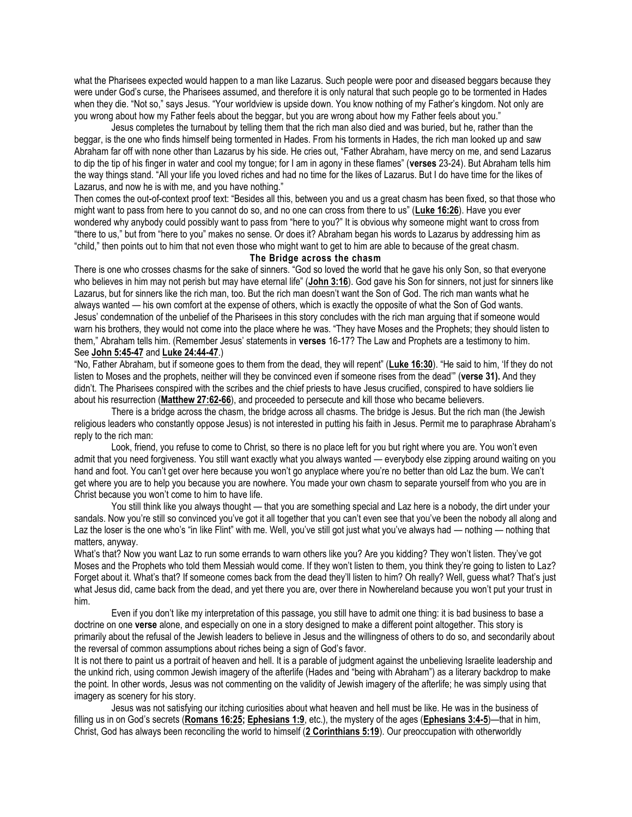what the Pharisees expected would happen to a man like Lazarus. Such people were poor and diseased beggars because they were under God's curse, the Pharisees assumed, and therefore it is only natural that such people go to be tormented in Hades when they die. "Not so," says Jesus. "Your worldview is upside down. You know nothing of my Father's kingdom. Not only are you wrong about how my Father feels about the beggar, but you are wrong about how my Father feels about you."

Jesus completes the turnabout by telling them that the rich man also died and was buried, but he, rather than the beggar, is the one who finds himself being tormented in Hades. From his torments in Hades, the rich man looked up and saw Abraham far off with none other than Lazarus by his side. He cries out, "Father Abraham, have mercy on me, and send Lazarus to dip the tip of his finger in water and cool my tongue; for I am in agony in these flames" (**verses** 23-24). But Abraham tells him the way things stand. "All your life you loved riches and had no time for the likes of Lazarus. But I do have time for the likes of Lazarus, and now he is with me, and you have nothing."

Then comes the out-of-context proof text: "Besides all this, between you and us a great chasm has been fixed, so that those who might want to pass from here to you cannot do so, and no one can cross from there to us" (**[Luke 16:26](https://biblia.com/bible/niv/Luke%2016.26)**). Have you ever wondered why anybody could possibly want to pass from "here to you?" It is obvious why someone might want to cross from "there to us," but from "here to you" makes no sense. Or does it? Abraham began his words to Lazarus by addressing him as "child," then points out to him that not even those who might want to get to him are able to because of the great chasm.

### **The Bridge across the chasm**

There is one who crosses chasms for the sake of sinners. "God so loved the world that he gave his only Son, so that everyone who believes in him may not perish but may have eternal life" ([John 3:16](https://biblia.com/bible/niv/John%203.16)). God gave his Son for sinners, not just for sinners like Lazarus, but for sinners like the rich man, too. But the rich man doesn't want the Son of God. The rich man wants what he always wanted — his own comfort at the expense of others, which is exactly the opposite of what the Son of God wants. Jesus' condemnation of the unbelief of the Pharisees in this story concludes with the rich man arguing that if someone would warn his brothers, they would not come into the place where he was. "They have Moses and the Prophets; they should listen to them," Abraham tells him. (Remember Jesus' statements in **verses** 16-17? The Law and Prophets are a testimony to him. See **[John 5:45-47](https://biblia.com/bible/niv/John%205.45-47)** and **[Luke 24:44-47](https://biblia.com/bible/niv/Luke%2024.44-47)**.)

"No, Father Abraham, but if someone goes to them from the dead, they will repent" (**[Luke 16:30](https://biblia.com/bible/niv/Luke%2016.30)**). "He said to him, 'If they do not listen to Moses and the prophets, neither will they be convinced even if someone rises from the dead'" (**verse 31).** And they didn't. The Pharisees conspired with the scribes and the chief priests to have Jesus crucified, conspired to have soldiers lie about his resurrection (**[Matthew 27:62-66](https://biblia.com/bible/niv/Matt%2027.62-66)**), and proceeded to persecute and kill those who became believers.

There is a bridge across the chasm, the bridge across all chasms. The bridge is Jesus. But the rich man (the Jewish religious leaders who constantly oppose Jesus) is not interested in putting his faith in Jesus. Permit me to paraphrase Abraham's reply to the rich man:

Look, friend, you refuse to come to Christ, so there is no place left for you but right where you are. You won't even admit that you need forgiveness. You still want exactly what you always wanted — everybody else zipping around waiting on you hand and foot. You can't get over here because you won't go anyplace where you're no better than old Laz the bum. We can't get where you are to help you because you are nowhere. You made your own chasm to separate yourself from who you are in Christ because you won't come to him to have life.

You still think like you always thought — that you are something special and Laz here is a nobody, the dirt under your sandals. Now you're still so convinced you've got it all together that you can't even see that you've been the nobody all along and Laz the loser is the one who's "in like Flint" with me. Well, you've still got just what you've always had — nothing — nothing that matters, anyway.

What's that? Now you want Laz to run some errands to warn others like you? Are you kidding? They won't listen. They've got Moses and the Prophets who told them Messiah would come. If they won't listen to them, you think they're going to listen to Laz? Forget about it. What's that? If someone comes back from the dead they'll listen to him? Oh really? Well, guess what? That's just what Jesus did, came back from the dead, and yet there you are, over there in Nowhereland because you won't put your trust in him.

Even if you don't like my interpretation of this passage, you still have to admit one thing: it is bad business to base a doctrine on one **verse** alone, and especially on one in a story designed to make a different point altogether. This story is primarily about the refusal of the Jewish leaders to believe in Jesus and the willingness of others to do so, and secondarily about the reversal of common assumptions about riches being a sign of God's favor.

It is not there to paint us a portrait of heaven and hell. It is a parable of judgment against the unbelieving Israelite leadership and the unkind rich, using common Jewish imagery of the afterlife (Hades and "being with Abraham") as a literary backdrop to make the point. In other words, Jesus was not commenting on the validity of Jewish imagery of the afterlife; he was simply using that imagery as scenery for his story.

Jesus was not satisfying our itching curiosities about what heaven and hell must be like. He was in the business of filling us in on God's secrets (**[Romans 16:25;](https://biblia.com/bible/niv/Rom%2016.25) [Ephesians 1:9](https://biblia.com/bible/niv/Eph%201.9)**, etc.), the mystery of the ages (**[Ephesians 3:4-5](https://biblia.com/bible/niv/Eph%203.4-5)**)—that in him, Christ, God has always been reconciling the world to himself (**[2 Corinthians 5:19](https://biblia.com/bible/niv/2%20Cor%205.19)**). Our preoccupation with otherworldly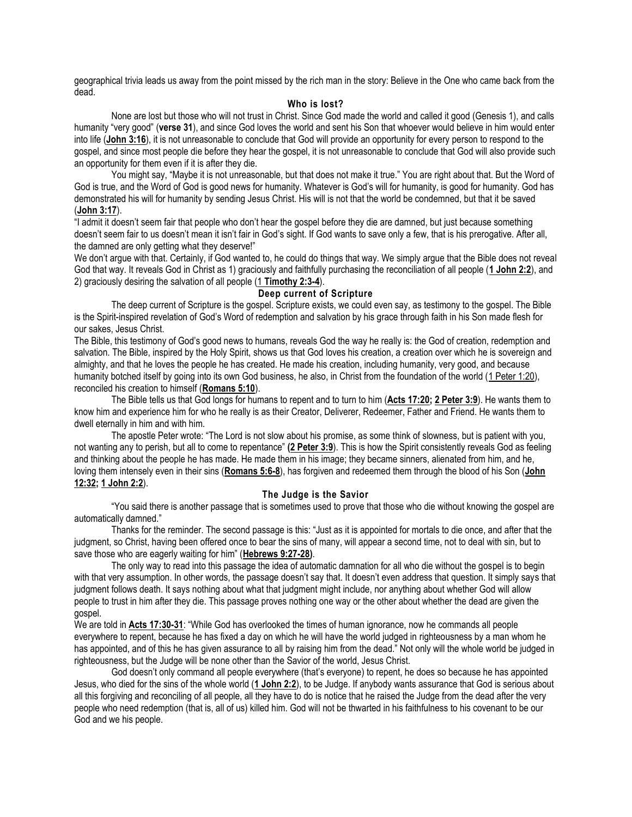geographical trivia leads us away from the point missed by the rich man in the story: Believe in the One who came back from the dead.

#### **Who is lost?**

None are lost but those who will not trust in Christ. Since God made the world and called it good (Genesis 1), and calls humanity "very good" (**verse 31**), and since God loves the world and sent his Son that whoever would believe in him would enter into life (**[John 3:16](https://biblia.com/bible/niv/John%203.16)**), it is not unreasonable to conclude that God will provide an opportunity for every person to respond to the gospel, and since most people die before they hear the gospel, it is not unreasonable to conclude that God will also provide such an opportunity for them even if it is after they die.

You might say, "Maybe it is not unreasonable, but that does not make it true." You are right about that. But the Word of God is true, and the Word of God is good news for humanity. Whatever is God's will for humanity, is good for humanity. God has demonstrated his will for humanity by sending Jesus Christ. His will is not that the world be condemned, but that it be saved (**[John 3:17](https://biblia.com/bible/niv/John%203.17)**).

"I admit it doesn't seem fair that people who don't hear the gospel before they die are damned, but just because something doesn't seem fair to us doesn't mean it isn't fair in God's sight. If God wants to save only a few, that is his prerogative. After all, the damned are only getting what they deserve!"

We don't argue with that. Certainly, if God wanted to, he could do things that way. We simply argue that the Bible does not reveal God that way. It reveals God in Christ as 1) graciously and faithfully purchasing the reconciliation of all people (**[1 John 2:2](https://biblia.com/bible/niv/1%20John%202.2)**), and 2) graciously desiring the salvation of all people (1 **[Timothy 2:3-4](https://biblia.com/bible/niv/1%20Tim%202.3-4)**).

### **Deep current of Scripture**

The deep current of Scripture is the gospel. Scripture exists, we could even say, as testimony to the gospel. The Bible is the Spirit-inspired revelation of God's Word of redemption and salvation by his grace through faith in his Son made flesh for our sakes, Jesus Christ.

The Bible, this testimony of God's good news to humans, reveals God the way he really is: the God of creation, redemption and salvation. The Bible, inspired by the Holy Spirit, shows us that God loves his creation, a creation over which he is sovereign and almighty, and that he loves the people he has created. He made his creation, including humanity, very good, and because humanity botched itself by going into its own God business, he also, in Christ from the foundation of the world [\(1 Peter 1:20\)](https://biblia.com/bible/niv/1%20Pet%201.20), reconciled his creation to himself (**[Romans 5:10](https://biblia.com/bible/niv/Rom%205.10)**).

The Bible tells us that God longs for humans to repent and to turn to him (**[Acts 17:20;](https://biblia.com/bible/niv/Acts%2017.20) [2 Peter 3:9](https://biblia.com/bible/niv/2%20Pet%203.9)**). He wants them to know him and experience him for who he really is as their Creator, Deliverer, Redeemer, Father and Friend. He wants them to dwell eternally in him and with him.

The apostle Peter wrote: "The Lord is not slow about his promise, as some think of slowness, but is patient with you, not wanting any to perish, but all to come to repentance" **[\(2 Peter 3:9](https://biblia.com/bible/niv/2%20Pet%203.9)**). This is how the Spirit consistently reveals God as feeling and thinking about the people he has made. He made them in his image; they became sinners, alienated from him, and he, loving them intensely even in their sins (**[Romans 5:6-8](https://biblia.com/bible/niv/Rom%205.6-8)**), has forgiven and redeemed them through the blood of his Son (**[John](https://biblia.com/bible/niv/John%2012.32)  [12:32;](https://biblia.com/bible/niv/John%2012.32) [1 John 2:2](https://biblia.com/bible/niv/1%20John%202.2)**).

### **The Judge is the Savior**

"You said there is another passage that is sometimes used to prove that those who die without knowing the gospel are automatically damned."

Thanks for the reminder. The second passage is this: "Just as it is appointed for mortals to die once, and after that the judgment, so Christ, having been offered once to bear the sins of many, will appear a second time, not to deal with sin, but to save those who are eagerly waiting for him" (**[Hebrews 9:27-28\)](https://biblia.com/bible/niv/Heb%209.27-28)**.

The only way to read into this passage the idea of automatic damnation for all who die without the gospel is to begin with that very assumption. In other words, the passage doesn't say that. It doesn't even address that question. It simply says that judgment follows death. It says nothing about what that judgment might include, nor anything about whether God will allow people to trust in him after they die. This passage proves nothing one way or the other about whether the dead are given the gospel.

We are told in **[Acts 17:30-31](https://biblia.com/bible/niv/Acts%2017.30-31)**: "While God has overlooked the times of human ignorance, now he commands all people everywhere to repent, because he has fixed a day on which he will have the world judged in righteousness by a man whom he has appointed, and of this he has given assurance to all by raising him from the dead." Not only will the whole world be judged in righteousness, but the Judge will be none other than the Savior of the world, Jesus Christ.

God doesn't only command all people everywhere (that's everyone) to repent, he does so because he has appointed Jesus, who died for the sins of the whole world (**[1 John 2:2](https://biblia.com/bible/niv/1%20John%202.2)**), to be Judge. If anybody wants assurance that God is serious about all this forgiving and reconciling of all people, all they have to do is notice that he raised the Judge from the dead after the very people who need redemption (that is, all of us) killed him. God will not be thwarted in his faithfulness to his covenant to be our God and we his people.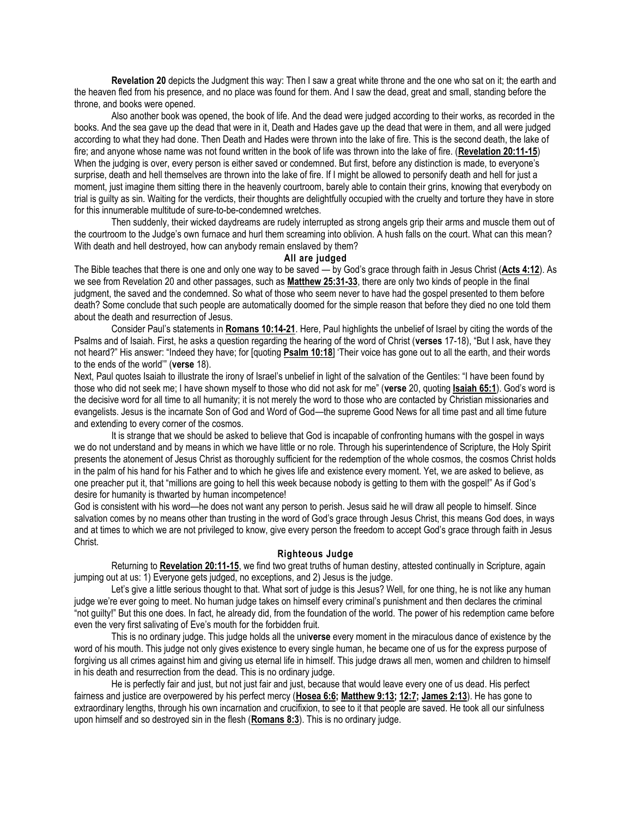**Revelation 20** depicts the Judgment this way: Then I saw a great white throne and the one who sat on it; the earth and the heaven fled from his presence, and no place was found for them. And I saw the dead, great and small, standing before the throne, and books were opened.

Also another book was opened, the book of life. And the dead were judged according to their works, as recorded in the books. And the sea gave up the dead that were in it, Death and Hades gave up the dead that were in them, and all were judged according to what they had done. Then Death and Hades were thrown into the lake of fire. This is the second death, the lake of fire; and anyone whose name was not found written in the book of life was thrown into the lake of fire. (**[Revelation 20:11-15](https://biblia.com/bible/niv/Rev%2020.11-15)**) When the judging is over, every person is either saved or condemned. But first, before any distinction is made, to everyone's surprise, death and hell themselves are thrown into the lake of fire. If I might be allowed to personify death and hell for just a moment, just imagine them sitting there in the heavenly courtroom, barely able to contain their grins, knowing that everybody on trial is guilty as sin. Waiting for the verdicts, their thoughts are delightfully occupied with the cruelty and torture they have in store for this innumerable multitude of sure-to-be-condemned wretches.

Then suddenly, their wicked daydreams are rudely interrupted as strong angels grip their arms and muscle them out of the courtroom to the Judge's own furnace and hurl them screaming into oblivion. A hush falls on the court. What can this mean? With death and hell destroyed, how can anybody remain enslaved by them?

#### **All are judged**

The Bible teaches that there is one and only one way to be saved — by God's grace through faith in Jesus Christ (**[Acts 4:12](https://biblia.com/bible/niv/Acts%204.12)**). As we see from Revelation 20 and other passages, such as **[Matthew 25:31-33](https://biblia.com/bible/niv/Matt%2025.31-33)**, there are only two kinds of people in the final judgment, the saved and the condemned. So what of those who seem never to have had the gospel presented to them before death? Some conclude that such people are automatically doomed for the simple reason that before they died no one told them about the death and resurrection of Jesus.

Consider Paul's statements in **[Romans 10:14-21](https://biblia.com/bible/niv/Rom%2010.14-21)**. Here, Paul highlights the unbelief of Israel by citing the words of the Psalms and of Isaiah. First, he asks a question regarding the hearing of the word of Christ (**verses** 17-18), "But I ask, have they not heard?" His answer: "Indeed they have; for [quoting **[Psalm 10:18](https://biblia.com/bible/niv/Ps%2010.18)**] 'Their voice has gone out to all the earth, and their words to the ends of the world'" (**verse** 18).

Next, Paul quotes Isaiah to illustrate the irony of Israel's unbelief in light of the salvation of the Gentiles: "I have been found by those who did not seek me; I have shown myself to those who did not ask for me" (**verse** 20, quoting **[Isaiah 65:1](https://biblia.com/bible/niv/Isa%2065.1)**). God's word is the decisive word for all time to all humanity; it is not merely the word to those who are contacted by Christian missionaries and evangelists. Jesus is the incarnate Son of God and Word of God—the supreme Good News for all time past and all time future and extending to every corner of the cosmos.

It is strange that we should be asked to believe that God is incapable of confronting humans with the gospel in ways we do not understand and by means in which we have little or no role. Through his superintendence of Scripture, the Holy Spirit presents the atonement of Jesus Christ as thoroughly sufficient for the redemption of the whole cosmos, the cosmos Christ holds in the palm of his hand for his Father and to which he gives life and existence every moment. Yet, we are asked to believe, as one preacher put it, that "millions are going to hell this week because nobody is getting to them with the gospel!" As if God's desire for humanity is thwarted by human incompetence!

God is consistent with his word—he does not want any person to perish. Jesus said he will draw all people to himself. Since salvation comes by no means other than trusting in the word of God's grace through Jesus Christ, this means God does, in ways and at times to which we are not privileged to know, give every person the freedom to accept God's grace through faith in Jesus Christ.

### **Righteous Judge**

Returning to **[Revelation 20:11-15](https://biblia.com/bible/niv/Rev%2020.11-15)**, we find two great truths of human destiny, attested continually in Scripture, again jumping out at us: 1) Everyone gets judged, no exceptions, and 2) Jesus is the judge.

Let's give a little serious thought to that. What sort of judge is this Jesus? Well, for one thing, he is not like any human judge we're ever going to meet. No human judge takes on himself every criminal's punishment and then declares the criminal "not guilty!" But this one does. In fact, he already did, from the foundation of the world. The power of his redemption came before even the very first salivating of Eve's mouth for the forbidden fruit.

This is no ordinary judge. This judge holds all the uni**verse** every moment in the miraculous dance of existence by the word of his mouth. This judge not only gives existence to every single human, he became one of us for the express purpose of forgiving us all crimes against him and giving us eternal life in himself. This judge draws all men, women and children to himself in his death and resurrection from the dead. This is no ordinary judge.

He is perfectly fair and just, but not just fair and just, because that would leave every one of us dead. His perfect fairness and justice are overpowered by his perfect mercy (**[Hosea 6:6;](https://biblia.com/bible/niv/Hos%206.6) [Matthew 9:13;](https://biblia.com/bible/niv/Matt%209.13) [12:7;](https://biblia.com/bible/niv/Matthew%2012.7) [James 2:13](https://biblia.com/bible/niv/James%202.13)**). He has gone to extraordinary lengths, through his own incarnation and crucifixion, to see to it that people are saved. He took all our sinfulness upon himself and so destroyed sin in the flesh (**[Romans 8:3](https://biblia.com/bible/niv/Rom%208.3)**). This is no ordinary judge.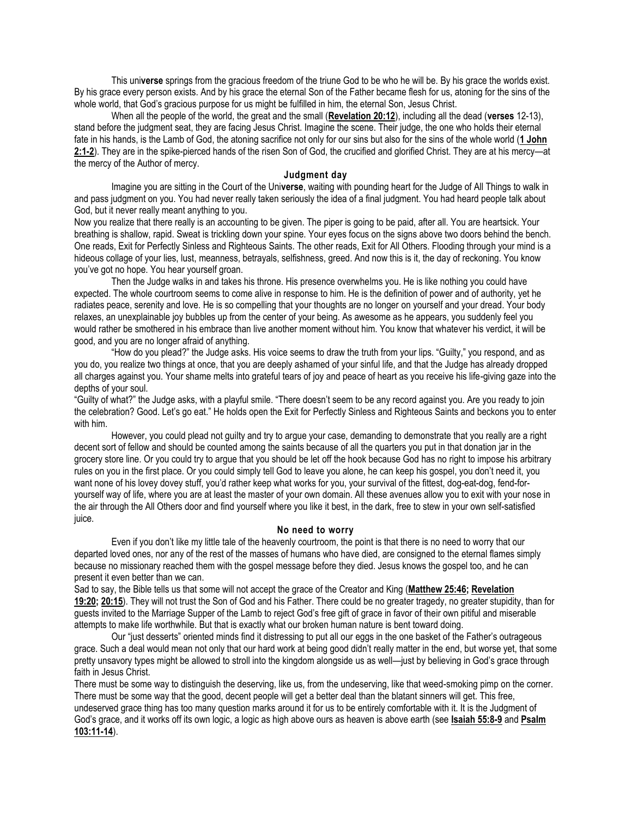This uni**verse** springs from the gracious freedom of the triune God to be who he will be. By his grace the worlds exist. By his grace every person exists. And by his grace the eternal Son of the Father became flesh for us, atoning for the sins of the whole world, that God's gracious purpose for us might be fulfilled in him, the eternal Son, Jesus Christ.

When all the people of the world, the great and the small (**[Revelation 20:12](https://biblia.com/bible/niv/Rev%2020.12)**), including all the dead (**verses** 12-13), stand before the judgment seat, they are facing Jesus Christ. Imagine the scene. Their judge, the one who holds their eternal fate in his hands, is the Lamb of God, the atoning sacrifice not only for our sins but also for the sins of the whole world (**[1 John](https://biblia.com/bible/niv/1%20John%202.1-2)  [2:1-2](https://biblia.com/bible/niv/1%20John%202.1-2)**). They are in the spike-pierced hands of the risen Son of God, the crucified and glorified Christ. They are at his mercy—at the mercy of the Author of mercy.

## **Judgment day**

Imagine you are sitting in the Court of the Uni**verse**, waiting with pounding heart for the Judge of All Things to walk in and pass judgment on you. You had never really taken seriously the idea of a final judgment. You had heard people talk about God, but it never really meant anything to you.

Now you realize that there really is an accounting to be given. The piper is going to be paid, after all. You are heartsick. Your breathing is shallow, rapid. Sweat is trickling down your spine. Your eyes focus on the signs above two doors behind the bench. One reads, Exit for Perfectly Sinless and Righteous Saints. The other reads, Exit for All Others. Flooding through your mind is a hideous collage of your lies, lust, meanness, betrayals, selfishness, greed. And now this is it, the day of reckoning. You know you've got no hope. You hear yourself groan.

Then the Judge walks in and takes his throne. His presence overwhelms you. He is like nothing you could have expected. The whole courtroom seems to come alive in response to him. He is the definition of power and of authority, yet he radiates peace, serenity and love. He is so compelling that your thoughts are no longer on yourself and your dread. Your body relaxes, an unexplainable joy bubbles up from the center of your being. As awesome as he appears, you suddenly feel you would rather be smothered in his embrace than live another moment without him. You know that whatever his verdict, it will be good, and you are no longer afraid of anything.

"How do you plead?" the Judge asks. His voice seems to draw the truth from your lips. "Guilty," you respond, and as you do, you realize two things at once, that you are deeply ashamed of your sinful life, and that the Judge has already dropped all charges against you. Your shame melts into grateful tears of joy and peace of heart as you receive his life-giving gaze into the depths of your soul.

"Guilty of what?" the Judge asks, with a playful smile. "There doesn't seem to be any record against you. Are you ready to join the celebration? Good. Let's go eat." He holds open the Exit for Perfectly Sinless and Righteous Saints and beckons you to enter with him.

However, you could plead not guilty and try to argue your case, demanding to demonstrate that you really are a right decent sort of fellow and should be counted among the saints because of all the quarters you put in that donation jar in the grocery store line. Or you could try to argue that you should be let off the hook because God has no right to impose his arbitrary rules on you in the first place. Or you could simply tell God to leave you alone, he can keep his gospel, you don't need it, you want none of his lovey dovey stuff, you'd rather keep what works for you, your survival of the fittest, dog-eat-dog, fend-foryourself way of life, where you are at least the master of your own domain. All these avenues allow you to exit with your nose in the air through the All Others door and find yourself where you like it best, in the dark, free to stew in your own self-satisfied juice.

#### **No need to worry**

Even if you don't like my little tale of the heavenly courtroom, the point is that there is no need to worry that our departed loved ones, nor any of the rest of the masses of humans who have died, are consigned to the eternal flames simply because no missionary reached them with the gospel message before they died. Jesus knows the gospel too, and he can present it even better than we can.

Sad to say, the Bible tells us that some will not accept the grace of the Creator and King (**[Matthew 25:46;](https://biblia.com/bible/niv/Matt%2025.46) [Revelation](https://biblia.com/bible/niv/Rev%2019.20)  [19:20;](https://biblia.com/bible/niv/Rev%2019.20) [20:15](https://biblia.com/bible/niv/Revelation%2020.15)**). They will not trust the Son of God and his Father. There could be no greater tragedy, no greater stupidity, than for guests invited to the Marriage Supper of the Lamb to reject God's free gift of grace in favor of their own pitiful and miserable attempts to make life worthwhile. But that is exactly what our broken human nature is bent toward doing.

Our "just desserts" oriented minds find it distressing to put all our eggs in the one basket of the Father's outrageous grace. Such a deal would mean not only that our hard work at being good didn't really matter in the end, but worse yet, that some pretty unsavory types might be allowed to stroll into the kingdom alongside us as well—just by believing in God's grace through faith in Jesus Christ.

There must be some way to distinguish the deserving, like us, from the undeserving, like that weed-smoking pimp on the corner. There must be some way that the good, decent people will get a better deal than the blatant sinners will get. This free, undeserved grace thing has too many question marks around it for us to be entirely comfortable with it. It is the Judgment of God's grace, and it works off its own logic, a logic as high above ours as heaven is above earth (see **[Isaiah 55:8-9](https://biblia.com/bible/niv/Isa%2055.8-9)** and **[Psalm](https://biblia.com/bible/niv/Ps%20103.11-14)  [103:11-14](https://biblia.com/bible/niv/Ps%20103.11-14)**).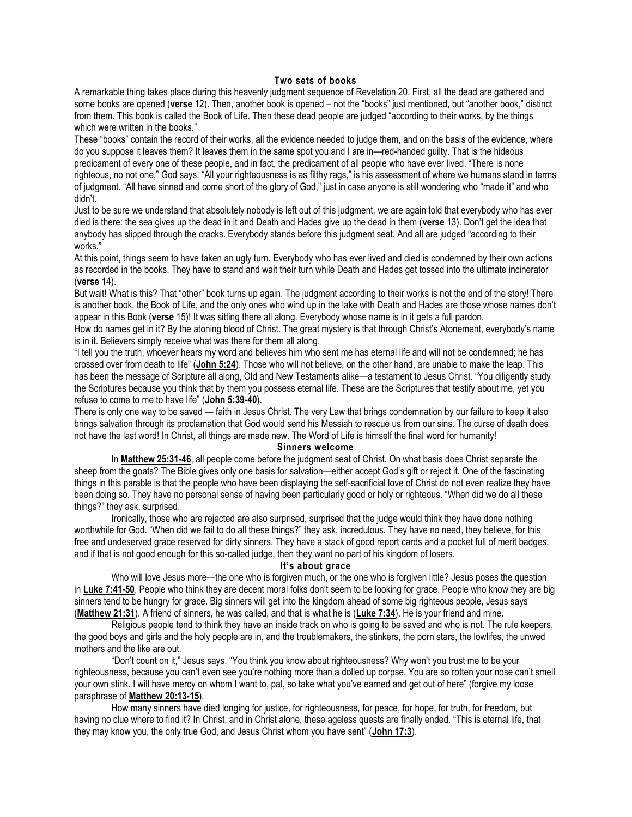## **Two sets of books**

A remarkable thing takes place during this heavenly judgment sequence of Revelation 20. First, all the dead are gathered and some books are opened (**verse** 12). Then, another book is opened – not the "books" just mentioned, but "another book," distinct from them. This book is called the Book of Life. Then these dead people are judged "according to their works, by the things which were written in the books."

These "books" contain the record of their works, all the evidence needed to judge them, and on the basis of the evidence, where do you suppose it leaves them? It leaves them in the same spot you and I are in—red-handed guilty. That is the hideous predicament of every one of these people, and in fact, the predicament of all people who have ever lived. "There is none righteous, no not one," God says. "All your righteousness is as filthy rags," is his assessment of where we humans stand in terms of judgment. "All have sinned and come short of the glory of God," just in case anyone is still wondering who "made it" and who didn't.

Just to be sure we understand that absolutely nobody is left out of this judgment, we are again told that everybody who has ever died is there: the sea gives up the dead in it and Death and Hades give up the dead in them (**verse** 13). Don't get the idea that anybody has slipped through the cracks. Everybody stands before this judgment seat. And all are judged "according to their works."

At this point, things seem to have taken an ugly turn. Everybody who has ever lived and died is condemned by their own actions as recorded in the books. They have to stand and wait their turn while Death and Hades get tossed into the ultimate incinerator (**verse** 14).

But wait! What is this? That "other" book turns up again. The judgment according to their works is not the end of the story! There is another book, the Book of Life, and the only ones who wind up in the lake with Death and Hades are those whose names don't appear in this Book (**verse** 15)! It was sitting there all along. Everybody whose name is in it gets a full pardon.

How do names get in it? By the atoning blood of Christ. The great mystery is that through Christ's Atonement, everybody's name is in it. Believers simply receive what was there for them all along.

"I tell you the truth, whoever hears my word and believes him who sent me has eternal life and will not be condemned; he has crossed over from death to life" (**[John 5:24](https://biblia.com/bible/niv/John%205.24)**). Those who will not believe, on the other hand, are unable to make the leap. This has been the message of Scripture all along, Old and New Testaments alike—a testament to Jesus Christ. "You diligently study the Scriptures because you think that by them you possess eternal life. These are the Scriptures that testify about me, yet you refuse to come to me to have life" (**[John 5:39-40](https://biblia.com/bible/niv/John%205.39-40)**).

There is only one way to be saved — faith in Jesus Christ. The very Law that brings condemnation by our failure to keep it also brings salvation through its proclamation that God would send his Messiah to rescue us from our sins. The curse of death does not have the last word! In Christ, all things are made new. The Word of Life is himself the final word for humanity!

#### **Sinners welcome**

In **[Matthew 25:31-46](https://biblia.com/bible/niv/Matt%2025.31-46)**, all people come before the judgment seat of Christ. On what basis does Christ separate the sheep from the goats? The Bible gives only one basis for salvation—either accept God's gift or reject it. One of the fascinating things in this parable is that the people who have been displaying the self-sacrificial love of Christ do not even realize they have been doing so. They have no personal sense of having been particularly good or holy or righteous. "When did we do all these things?" they ask, surprised.

Ironically, those who are rejected are also surprised, surprised that the judge would think they have done nothing worthwhile for God. "When did we fail to do all these things?" they ask, incredulous. They have no need, they believe, for this free and undeserved grace reserved for dirty sinners. They have a stack of good report cards and a pocket full of merit badges, and if that is not good enough for this so-called judge, then they want no part of his kingdom of losers.

### **It's about grace**

Who will love Jesus more—the one who is forgiven much, or the one who is forgiven little? Jesus poses the question in **[Luke 7:41-50](https://biblia.com/bible/niv/Luke%207.41-50)**. People who think they are decent moral folks don't seem to be looking for grace. People who know they are big sinners tend to be hungry for grace. Big sinners will get into the kingdom ahead of some big righteous people, Jesus says (**[Matthew 21:31](https://biblia.com/bible/niv/Matt%2021.31)**). A friend of sinners, he was called, and that is what he is (**[Luke 7:34](https://biblia.com/bible/niv/Luke%207.34)**). He is your friend and mine.

Religious people tend to think they have an inside track on who is going to be saved and who is not. The rule keepers, the good boys and girls and the holy people are in, and the troublemakers, the stinkers, the porn stars, the lowlifes, the unwed mothers and the like are out.

"Don't count on it," Jesus says. "You think you know about righteousness? Why won't you trust me to be your righteousness, because you can't even see you're nothing more than a dolled up corpse. You are so rotten your nose can't smell your own stink. I will have mercy on whom I want to, pal, so take what you've earned and get out of here" (forgive my loose paraphrase of **[Matthew 20:13-15](https://biblia.com/bible/niv/Matt%2020.13-15)**).

How many sinners have died longing for justice, for righteousness, for peace, for hope, for truth, for freedom, but having no clue where to find it? In Christ, and in Christ alone, these ageless quests are finally ended. "This is eternal life, that they may know you, the only true God, and Jesus Christ whom you have sent" (**[John 17:3](https://biblia.com/bible/niv/John%2017.3)**).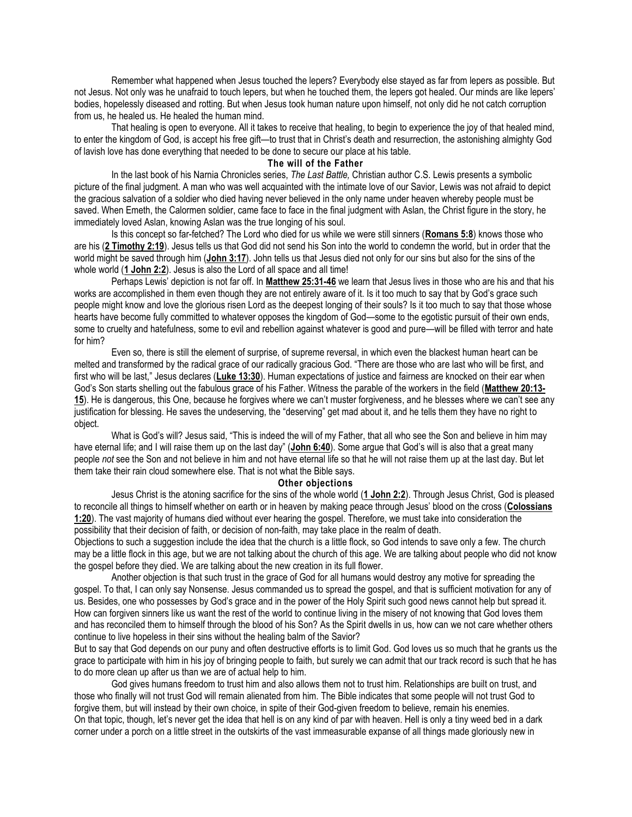Remember what happened when Jesus touched the lepers? Everybody else stayed as far from lepers as possible. But not Jesus. Not only was he unafraid to touch lepers, but when he touched them, the lepers got healed. Our minds are like lepers' bodies, hopelessly diseased and rotting. But when Jesus took human nature upon himself, not only did he not catch corruption from us, he healed us. He healed the human mind.

That healing is open to everyone. All it takes to receive that healing, to begin to experience the joy of that healed mind, to enter the kingdom of God, is accept his free gift—to trust that in Christ's death and resurrection, the astonishing almighty God of lavish love has done everything that needed to be done to secure our place at his table.

#### **The will of the Father**

In the last book of his Narnia Chronicles series, *The Last Battle,* Christian author C.S. Lewis presents a symbolic picture of the final judgment. A man who was well acquainted with the intimate love of our Savior, Lewis was not afraid to depict the gracious salvation of a soldier who died having never believed in the only name under heaven whereby people must be saved. When Emeth, the Calormen soldier, came face to face in the final judgment with Aslan, the Christ figure in the story, he immediately loved Aslan, knowing Aslan was the true longing of his soul.

Is this concept so far-fetched? The Lord who died for us while we were still sinners (**[Romans 5:8](https://biblia.com/bible/niv/Rom%205.8)**) knows those who are his (**[2 Timothy 2:19](https://biblia.com/bible/niv/2%20Tim%202.19)**). Jesus tells us that God did not send his Son into the world to condemn the world, but in order that the world might be saved through him (**[John 3:17](https://biblia.com/bible/niv/John%203.17)**). John tells us that Jesus died not only for our sins but also for the sins of the whole world (**[1 John 2:2](https://biblia.com/bible/niv/1%20John%202.2)**). Jesus is also the Lord of all space and all time!

Perhaps Lewis' depiction is not far off. In **[Matthew 25:31-46](https://biblia.com/bible/niv/Matt%2025.31-46)** we learn that Jesus lives in those who are his and that his works are accomplished in them even though they are not entirely aware of it. Is it too much to say that by God's grace such people might know and love the glorious risen Lord as the deepest longing of their souls? Is it too much to say that those whose hearts have become fully committed to whatever opposes the kingdom of God—some to the egotistic pursuit of their own ends, some to cruelty and hatefulness, some to evil and rebellion against whatever is good and pure—will be filled with terror and hate for him?

Even so, there is still the element of surprise, of supreme reversal, in which even the blackest human heart can be melted and transformed by the radical grace of our radically gracious God. "There are those who are last who will be first, and first who will be last," Jesus declares (**[Luke 13:30](https://biblia.com/bible/niv/Luke%2013.30)**). Human expectations of justice and fairness are knocked on their ear when God's Son starts shelling out the fabulous grace of his Father. Witness the parable of the workers in the field (**[Matthew 20:13-](https://biblia.com/bible/niv/Matt%2020.13-15) [15](https://biblia.com/bible/niv/Matt%2020.13-15)**). He is dangerous, this One, because he forgives where we can't muster forgiveness, and he blesses where we can't see any justification for blessing. He saves the undeserving, the "deserving" get mad about it, and he tells them they have no right to object.

What is God's will? Jesus said, "This is indeed the will of my Father, that all who see the Son and believe in him may have eternal life; and I will raise them up on the last day" (**[John 6:40](https://biblia.com/bible/niv/John%206.40)**). Some argue that God's will is also that a great many people *not* see the Son and not believe in him and not have eternal life so that he will not raise them up at the last day. But let them take their rain cloud somewhere else. That is not what the Bible says.

#### **Other objections**

Jesus Christ is the atoning sacrifice for the sins of the whole world (**[1 John 2:2](https://biblia.com/bible/niv/1%20John%202.2)**). Through Jesus Christ, God is pleased to reconcile all things to himself whether on earth or in heaven by making peace through Jesus' blood on the cross (**[Colossians](https://biblia.com/bible/niv/Col%201.20)  [1:20](https://biblia.com/bible/niv/Col%201.20)**). The vast majority of humans died without ever hearing the gospel. Therefore, we must take into consideration the possibility that their decision of faith, or decision of non-faith, may take place in the realm of death.

Objections to such a suggestion include the idea that the church is a little flock, so God intends to save only a few. The church may be a little flock in this age, but we are not talking about the church of this age. We are talking about people who did not know the gospel before they died. We are talking about the new creation in its full flower.

Another objection is that such trust in the grace of God for all humans would destroy any motive for spreading the gospel. To that, I can only say Nonsense. Jesus commanded us to spread the gospel, and that is sufficient motivation for any of us. Besides, one who possesses by God's grace and in the power of the Holy Spirit such good news cannot help but spread it. How can forgiven sinners like us want the rest of the world to continue living in the misery of not knowing that God loves them and has reconciled them to himself through the blood of his Son? As the Spirit dwells in us, how can we not care whether others continue to live hopeless in their sins without the healing balm of the Savior?

But to say that God depends on our puny and often destructive efforts is to limit God. God loves us so much that he grants us the grace to participate with him in his joy of bringing people to faith, but surely we can admit that our track record is such that he has to do more clean up after us than we are of actual help to him.

God gives humans freedom to trust him and also allows them not to trust him. Relationships are built on trust, and those who finally will not trust God will remain alienated from him. The Bible indicates that some people will not trust God to forgive them, but will instead by their own choice, in spite of their God-given freedom to believe, remain his enemies. On that topic, though, let's never get the idea that hell is on any kind of par with heaven. Hell is only a tiny weed bed in a dark corner under a porch on a little street in the outskirts of the vast immeasurable expanse of all things made gloriously new in